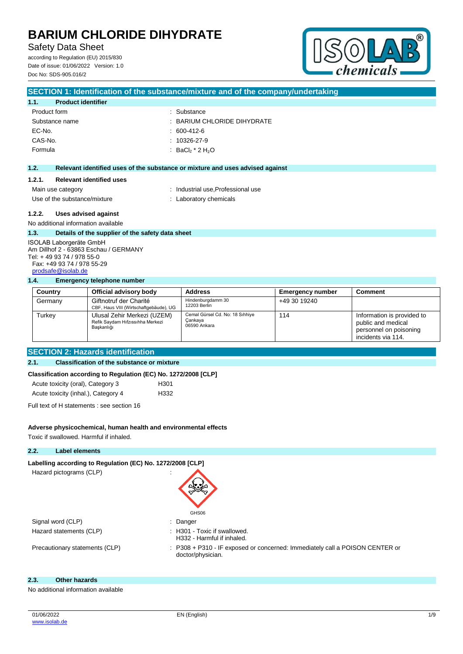**SECTION 1: Identification of the substance/mixture and of the company/undertaking**

**Safety Data Sheet** 

according to Regulation (EU) 2015/830 Date of issue: 01/06/2022 Version: 1.0 Doc No: SDS-905.016/2



#### **1.1. Product identifier** Product form : Substance : Substance Substance name : BARIUM CHLORIDE DIHYDRATE EC-No. : 600-412-6 CAS-No. : 10326-27-9 Formula : BaCl<sub>2</sub>  $*$  2 H<sub>2</sub>O **1.2. Relevant identified uses of the substance or mixture and uses advised against 1.2.1. Relevant identified uses** Main use category **industrial use, Professional use** Use of the substance/mixture : Laboratory chemicals **1.2.2. Uses advised against** No additional information available **1.3. Details of the supplier of the safety data sheet** ISOLAB Laborgeräte GmbH Am Dillhof 2 - 63863 Eschau / GERMANY Tel: + 49 93 74 / 978 55-0 Fax: +49 93 74 / 978 55-29 [prodsafe@isolab.de](mailto:prodsafe@isolab.de) **1.4. Emergency telephone number Country Official advisory body Address Emergency number Comment** Germany Giftnotruf der Charité CBF, Haus VIII (Wirtschaftgebäude), UG Hindenburgdamm 30 12203 Berlin +49 30 19240 Turkey Ulusal Zehir Merkezi (UZEM) Refik Saydam Hıfzıssıhha Merkezi Başkanlığı Cemal Gürsel Cd. No: 18 Sıhhiye Çankaya 06590 Ankara 114 **Information is provided to** public and medical .<br>personnel on poisoning incidents via 114.

## **SECTION 2: Hazards identification**

## **2.1. Classification of the substance or mixture**

## **Classification according to Regulation (EC) No. 1272/2008 [CLP]**

| Acute toxicity (oral), Category 3   | H <sub>301</sub> |
|-------------------------------------|------------------|
| Acute toxicity (inhal.), Category 4 | H332             |

Full text of H statements : see section 16

## **Adverse physicochemical, human health and environmental effects**

Toxic if swallowed. Harmful if inhaled.

## **2.2. Label elements**

| Labelling according to Regulation (EC) No. 1272/2008 [CLP] |                                                                                                   |
|------------------------------------------------------------|---------------------------------------------------------------------------------------------------|
| Hazard pictograms (CLP)                                    | $\blacksquare$                                                                                    |
|                                                            | GHS06                                                                                             |
| Signal word (CLP)                                          | : Danger                                                                                          |
| Hazard statements (CLP)                                    | $\therefore$ H301 - Toxic if swallowed.<br>H332 - Harmful if inhaled.                             |
| Precautionary statements (CLP)                             | : P308 + P310 - IF exposed or concerned: Immediately call a POISON CENTER or<br>doctor/physician. |
|                                                            |                                                                                                   |

### **2.3. Other hazards**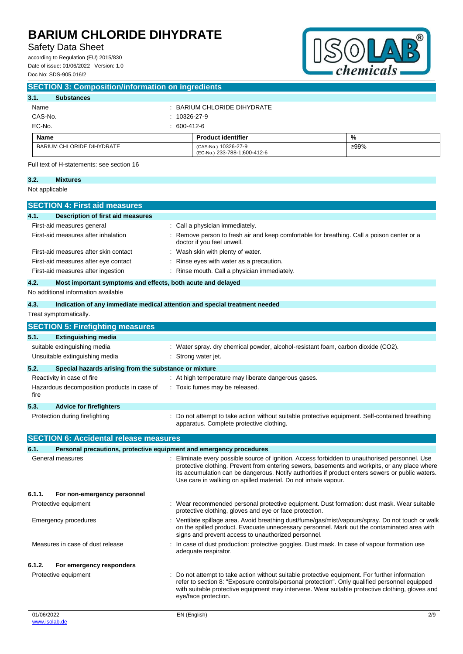## **Safety Data Sheet**

according to Regulation (EU) 2015/830 Date of issue: 01/06/2022 Version: 1.0 Doc No: SDS-905.016/2



| 3.1.<br><b>Substances</b>                 |                                                                                                                          |               |  |
|-------------------------------------------|--------------------------------------------------------------------------------------------------------------------------|---------------|--|
| Name                                      | : BARIUM CHLORIDE DIHYDRATE                                                                                              |               |  |
| CAS-No.                                   | $: 10326 - 27 - 9$                                                                                                       |               |  |
| EC-No.                                    | $: 600-412-6$                                                                                                            |               |  |
| <b>Name</b>                               | <b>Product identifier</b>                                                                                                | $\frac{9}{6}$ |  |
| <b>BARIUM CHLORIDE DIHYDRATE</b>          | (CAS-No.) 10326-27-9<br>(EC-No.) 233-788-1;600-412-6                                                                     | ≥99%          |  |
| Full text of H-statements: see section 16 |                                                                                                                          |               |  |
| 3.2.<br><b>Mixtures</b>                   |                                                                                                                          |               |  |
| Not applicable                            |                                                                                                                          |               |  |
| <b>SECTION 4: First aid measures</b>      |                                                                                                                          |               |  |
| Description of first aid measures<br>4.1. |                                                                                                                          |               |  |
| First-aid measures general                | : Call a physician immediately.                                                                                          |               |  |
| First-aid measures after inhalation       | : Remove person to fresh air and keep comfortable for breathing. Call a poison center or a<br>doctor if you feel unwell. |               |  |
| First-aid measures after skin contact     | : Wash skin with plenty of water.                                                                                        |               |  |
| First-aid measures after eye contact      | : Rinse eyes with water as a precaution.                                                                                 |               |  |
|                                           |                                                                                                                          |               |  |

## **4.2. Most important symptoms and effects, both acute and delayed**

| 4.3.                                                          | Indication of any immediate medical attention and special treatment needed                                                                                                                    |
|---------------------------------------------------------------|-----------------------------------------------------------------------------------------------------------------------------------------------------------------------------------------------|
| Treat symptomatically.                                        |                                                                                                                                                                                               |
| <b>SECTION 5: Firefighting measures</b>                       |                                                                                                                                                                                               |
| 5.1.<br><b>Extinguishing media</b>                            |                                                                                                                                                                                               |
| suitable extinguishing media                                  | : Water spray. dry chemical powder, alcohol-resistant foam, carbon dioxide (CO2).                                                                                                             |
| Unsuitable extinguishing media                                | : Strong water jet.                                                                                                                                                                           |
| 5.2.<br>Special hazards arising from the substance or mixture |                                                                                                                                                                                               |
| Reactivity in case of fire                                    | : At high temperature may liberate dangerous gases.                                                                                                                                           |
| Hazardous decomposition products in case of<br>fire           | : Toxic fumes may be released.                                                                                                                                                                |
| 5.3.<br><b>Advice for firefighters</b>                        |                                                                                                                                                                                               |
| Protection during firefighting                                | : Do not attempt to take action without suitable protective equipment. Self-contained breathing<br>apparatus. Complete protective clothing.                                                   |
| <b>SECTION 6: Accidental release measures</b>                 |                                                                                                                                                                                               |
| 6.1.                                                          | Personal precautions, protective equipment and emergency procedures                                                                                                                           |
| General measures                                              | Eliminate every possible source of ignition. Access forbidden to unauthorised personnel. Use<br>protective elething. Provent from entering sowers, becoments and workpits, or any place where |

| protective clothing. Prevent from entering sewers, basements and workpits, or any place where<br>its accumulation can be dangerous. Notify authorities if product enters sewers or public waters.<br>Use care in walking on spilled material. Do not inhale vapour.                                                         |
|-----------------------------------------------------------------------------------------------------------------------------------------------------------------------------------------------------------------------------------------------------------------------------------------------------------------------------|
|                                                                                                                                                                                                                                                                                                                             |
| : Wear recommended personal protective equipment. Dust formation: dust mask. Wear suitable<br>protective clothing, gloves and eye or face protection.                                                                                                                                                                       |
| : Ventilate spillage area. Avoid breathing dust/fume/gas/mist/vapours/spray. Do not touch or walk<br>on the spilled product. Evacuate unnecessary personnel. Mark out the contaminated area with<br>signs and prevent access to unauthorized personnel.                                                                     |
| : In case of dust production: protective goggles. Dust mask. In case of vapour formation use<br>adequate respirator.                                                                                                                                                                                                        |
|                                                                                                                                                                                                                                                                                                                             |
| : Do not attempt to take action without suitable protective equipment. For further information<br>refer to section 8: "Exposure controls/personal protection". Only qualified personnel equipped<br>with suitable protective equipment may intervene. Wear suitable protective clothing, gloves and<br>eye/face protection. |
|                                                                                                                                                                                                                                                                                                                             |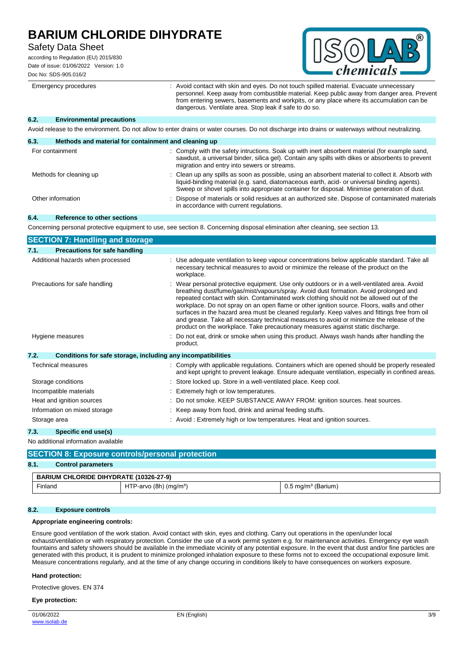## **Safety Data Sheet**

according to Regulation (EU) 2015/830 Date of issue: 01/06/2022 Version: 1.0 Doc No: SDS-905.016/2



Emergency procedures : Avoid contact with skin and eyes. Do not touch spilled material. Evacuate unnecessary personnel. Keep away from combustible material. Keep public away from danger area. Prevent from entering sewers, basements and workpits, or any place where its accumulation can be dangerous. Ventilate area. Stop leak if safe to do so.

#### **6.2. Environmental precautions**

Avoid release to the environment. Do not allow to enter drains or water courses. Do not discharge into drains or waterways without neutralizing.

| Methods and material for containment and cleaning up<br>6.3. |                                                                                                                                                                                                                                                                                                  |
|--------------------------------------------------------------|--------------------------------------------------------------------------------------------------------------------------------------------------------------------------------------------------------------------------------------------------------------------------------------------------|
| For containment                                              | : Comply with the safety intructions. Soak up with inert absorbent material (for example sand,<br>sawdust, a universal binder, silica gel). Contain any spills with dikes or absorbents to prevent<br>migration and entry into sewers or streams.                                                |
| Methods for cleaning up                                      | : Clean up any spills as soon as possible, using an absorbent material to collect it. Absorb with<br>liquid-binding material (e.g. sand, diatomaceous earth, acid- or universal binding agents).<br>Sweep or shovel spills into appropriate container for disposal. Minimise generation of dust. |
| Other information                                            | : Dispose of materials or solid residues at an authorized site. Dispose of contaminated materials<br>in accordance with current regulations.                                                                                                                                                     |

### **6.4. Reference to other sections**

Concerning personal protective equipment to use, see section 8. Concerning disposal elimination after cleaning, see section 13.

| <b>SECTION 7: Handling and storage</b>                               |                                                                                                                                                                                                                                                                                                                                                                                                                                                                                                                                                                                                                                                                |  |  |
|----------------------------------------------------------------------|----------------------------------------------------------------------------------------------------------------------------------------------------------------------------------------------------------------------------------------------------------------------------------------------------------------------------------------------------------------------------------------------------------------------------------------------------------------------------------------------------------------------------------------------------------------------------------------------------------------------------------------------------------------|--|--|
| <b>Precautions for safe handling</b><br>7.1.                         |                                                                                                                                                                                                                                                                                                                                                                                                                                                                                                                                                                                                                                                                |  |  |
| Additional hazards when processed                                    | : Use adequate ventilation to keep vapour concentrations below applicable standard. Take all<br>necessary technical measures to avoid or minimize the release of the product on the<br>workplace.                                                                                                                                                                                                                                                                                                                                                                                                                                                              |  |  |
| Precautions for safe handling                                        | : Wear personal protective equipment. Use only outdoors or in a well-ventilated area. Avoid<br>breathing dust/fume/gas/mist/vapours/spray. Avoid dust formation. Avoid prolonged and<br>repeated contact with skin. Contaminated work clothing should not be allowed out of the<br>workplace. Do not spray on an open flame or other ignition source. Floors, walls and other<br>surfaces in the hazard area must be cleaned regularly. Keep valves and fittings free from oil<br>and grease. Take all necessary technical measures to avoid or minimize the release of the<br>product on the workplace. Take precautionary measures against static discharge. |  |  |
| Hygiene measures                                                     | Do not eat, drink or smoke when using this product. Always wash hands after handling the<br>product.                                                                                                                                                                                                                                                                                                                                                                                                                                                                                                                                                           |  |  |
| 7.2.<br>Conditions for safe storage, including any incompatibilities |                                                                                                                                                                                                                                                                                                                                                                                                                                                                                                                                                                                                                                                                |  |  |
| Technical measures                                                   | : Comply with applicable regulations. Containers which are opened should be properly resealed<br>and kept upright to prevent leakage. Ensure adequate ventilation, especially in confined areas.                                                                                                                                                                                                                                                                                                                                                                                                                                                               |  |  |
| Storage conditions                                                   | : Store locked up. Store in a well-ventilated place. Keep cool.                                                                                                                                                                                                                                                                                                                                                                                                                                                                                                                                                                                                |  |  |
| Incompatible materials                                               | : Extremely high or low temperatures.                                                                                                                                                                                                                                                                                                                                                                                                                                                                                                                                                                                                                          |  |  |
| Heat and ignition sources                                            | : Do not smoke. KEEP SUBSTANCE AWAY FROM: ignition sources. heat sources.                                                                                                                                                                                                                                                                                                                                                                                                                                                                                                                                                                                      |  |  |
| Information on mixed storage                                         | : Keep away from food, drink and animal feeding stuffs.                                                                                                                                                                                                                                                                                                                                                                                                                                                                                                                                                                                                        |  |  |
| Storage area                                                         | : Avoid: Extremely high or low temperatures. Heat and ignition sources.                                                                                                                                                                                                                                                                                                                                                                                                                                                                                                                                                                                        |  |  |
| 7.3.<br>Specific end use(s)                                          |                                                                                                                                                                                                                                                                                                                                                                                                                                                                                                                                                                                                                                                                |  |  |

No additional information available

## **SECTION 8: Exposure controls/personal protection**

## **8.1. Control parameters**

| <b>BARIUM CHLORIDE DIHYDRATE (10326-27-9)</b> |                                      |                                  |
|-----------------------------------------------|--------------------------------------|----------------------------------|
| Finland                                       | HTP-arvo $(8h)$ (mg/m <sup>3</sup> ) | $0.5$ mg/m <sup>3</sup> (Barium) |

## **8.2. Exposure controls**

## **Appropriate engineering controls:**

Ensure good ventilation of the work station. Avoid contact with skin, eyes and clothing. Carry out operations in the open/under local exhaust/ventilation or with respiratory protection. Consider the use of a work permit system e.g. for maintenance activities. Emergency eye wash fountains and safety showers should be available in the immediate vicinity of any potential exposure. In the event that dust and/or fine particles are generated with this product, it is prudent to minimize prolonged inhalation exposure to these forms not to exceed the occupational exposure limit. Measure concentrations regularly, and at the time of any change occuring in conditions likely to have consequences on workers exposure.

#### **Hand protection:**

Protective gloves. EN 374

#### **Eye protection:**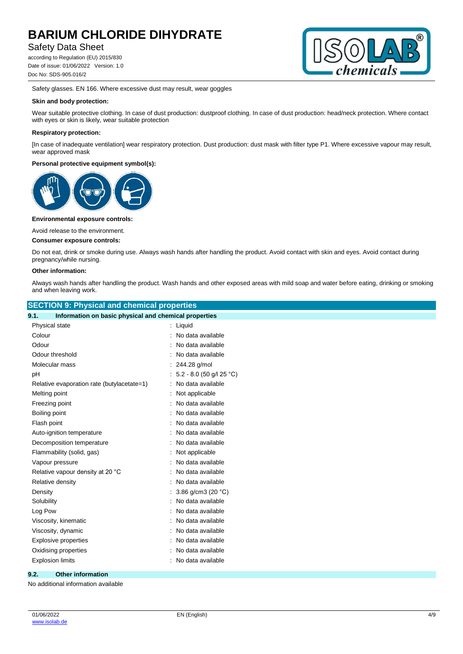## **Safety Data Sheet**

according to Regulation (EU) 2015/830 Date of issue: 01/06/2022 Version: 1.0 Doc No: SDS-905.016/2



Safety glasses. EN 166. Where excessive dust may result, wear goggles

#### **Skin and body protection:**

Wear suitable protective clothing. In case of dust production: dustproof clothing. In case of dust production: head/neck protection. Where contact with eyes or skin is likely, wear suitable protection

#### **Respiratory protection:**

[In case of inadequate ventilation] wear respiratory protection. Dust production: dust mask with filter type P1. Where excessive vapour may result, wear approved mask

### **Personal protective equipment symbol(s):**



#### **Environmental exposure controls:**

Avoid release to the environment.

### **Consumer exposure controls:**

Do not eat, drink or smoke during use. Always wash hands after handling the product. Avoid contact with skin and eyes. Avoid contact during pregnancy/while nursing.

#### **Other information:**

Always wash hands after handling the product. Wash hands and other exposed areas with mild soap and water before eating, drinking or smoking and when leaving work.

| <b>SECTION 9: Physical and chemical properties</b>            |                              |  |  |
|---------------------------------------------------------------|------------------------------|--|--|
| Information on basic physical and chemical properties<br>9.1. |                              |  |  |
| Physical state                                                | $:$ Liquid                   |  |  |
| Colour                                                        | : No data available          |  |  |
| Odour                                                         | No data available            |  |  |
| Odour threshold                                               | : No data available          |  |  |
| Molecular mass                                                | : 244.28 g/mol               |  |  |
| pH                                                            | : $5.2 - 8.0$ (50 g/l 25 °C) |  |  |
| Relative evaporation rate (butylacetate=1)                    | : No data available          |  |  |
| Melting point                                                 | Not applicable               |  |  |
| Freezing point                                                | : No data available          |  |  |
| Boiling point                                                 | No data available            |  |  |
| Flash point                                                   | No data available            |  |  |
| Auto-ignition temperature                                     | : No data available          |  |  |
| Decomposition temperature                                     | No data available            |  |  |
| Flammability (solid, gas)                                     | : Not applicable             |  |  |
| Vapour pressure                                               | No data available            |  |  |
| Relative vapour density at 20 °C                              | No data available            |  |  |
| Relative density                                              | No data available            |  |  |
| Density                                                       | : $3.86$ g/cm3 (20 °C)       |  |  |
| Solubility                                                    | No data available            |  |  |
| Log Pow                                                       | No data available            |  |  |
| Viscosity, kinematic                                          | No data available            |  |  |
| Viscosity, dynamic                                            | : No data available          |  |  |
| <b>Explosive properties</b>                                   | No data available            |  |  |
| Oxidising properties                                          | No data available            |  |  |
| <b>Explosion limits</b>                                       | : No data available          |  |  |
|                                                               |                              |  |  |

## **9.2. Other information**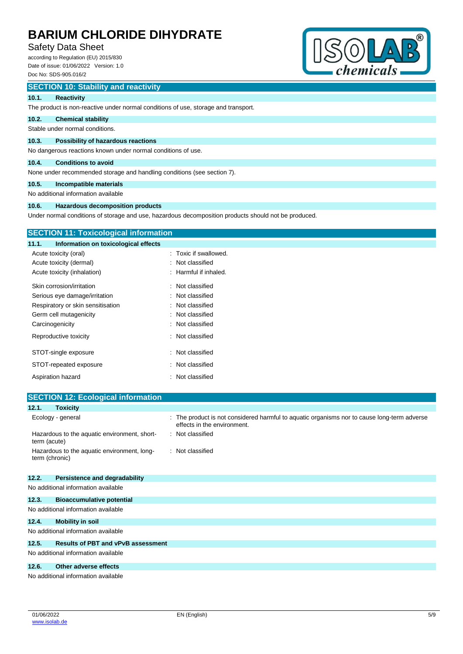## **Safety Data Sheet**

according to Regulation (EU) 2015/830 Date of issue: 01/06/2022 Version: 1.0 Doc No: SDS-905.016/2



## **SECTION 10: Stability and reactivity**

#### **10.1. Reactivity**

The product is non-reactive under normal conditions of use, storage and transport.

#### **10.2. Chemical stability**

Stable under normal conditions.

#### **10.3. Possibility of hazardous reactions**

No dangerous reactions known under normal conditions of use.

## **10.4. Conditions to avoid**

None under recommended storage and handling conditions (see section 7).

## **10.5. Incompatible materials**

No additional information available

#### **10.6. Hazardous decomposition products**

Under normal conditions of storage and use, hazardous decomposition products should not be produced.

| <b>SECTION 11: Toxicological information</b>  |                       |
|-----------------------------------------------|-----------------------|
| Information on toxicological effects<br>11.1. |                       |
| Acute toxicity (oral)                         | : Toxic if swallowed. |
| Acute toxicity (dermal)                       | : Not classified      |
| Acute toxicity (inhalation)                   | : Harmful if inhaled. |
| Skin corrosion/irritation                     | : Not classified      |
| Serious eye damage/irritation                 | : Not classified      |
| Respiratory or skin sensitisation             | : Not classified      |
| Germ cell mutagenicity                        | : Not classified      |
| Carcinogenicity                               | : Not classified      |
| Reproductive toxicity                         | : Not classified      |
| STOT-single exposure                          | : Not classified      |
| STOT-repeated exposure                        | : Not classified      |
| Aspiration hazard                             | : Not classified      |

|                | <b>SECTION 12: Ecological information</b>    |                                                                                                                            |
|----------------|----------------------------------------------|----------------------------------------------------------------------------------------------------------------------------|
| 12.1.          | <b>Toxicity</b>                              |                                                                                                                            |
|                | Ecology - general                            | : The product is not considered harmful to aquatic organisms nor to cause long-term adverse<br>effects in the environment. |
| term (acute)   | Hazardous to the aquatic environment, short- | : Not classified                                                                                                           |
| term (chronic) | Hazardous to the aquatic environment, long-  | : Not classified                                                                                                           |
| 12.2.          | Persistence and degradability                |                                                                                                                            |
|                | No additional information available          |                                                                                                                            |
| 12.3.          | <b>Bioaccumulative potential</b>             |                                                                                                                            |

| No additional information available |  |
|-------------------------------------|--|
|                                     |  |

#### **12.4. Mobility in soil**

No additional information available

## **12.5. Results of PBT and vPvB assessment**

No additional information available

#### **12.6. Other adverse effects**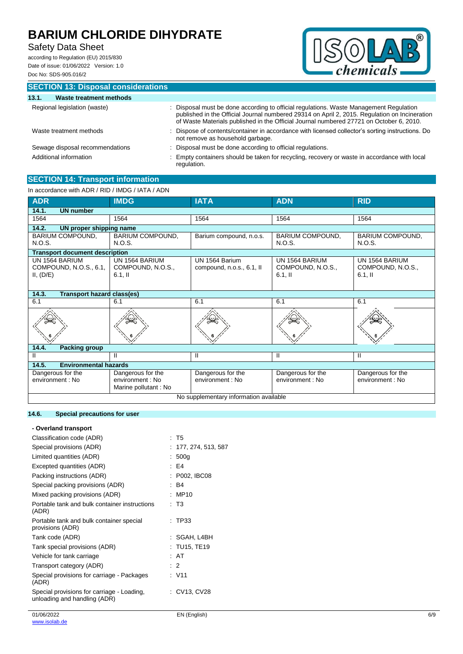# **Safety Data Sheet**

according to Regulation (EU) 2015/830 Date of issue: 01/06/2022 Version: 1.0 Doc No: SDS-905.016/2



|       | <b>SECTION 13: Disposal considerations</b> |                                                                                                                                                                                                                                                                                    |
|-------|--------------------------------------------|------------------------------------------------------------------------------------------------------------------------------------------------------------------------------------------------------------------------------------------------------------------------------------|
| 13.1. | <b>Waste treatment methods</b>             |                                                                                                                                                                                                                                                                                    |
|       | Regional legislation (waste)               | : Disposal must be done according to official regulations. Waste Management Regulation<br>published in the Official Journal numbered 29314 on April 2, 2015. Regulation on Incineration<br>of Waste Materials published in the Official Journal numbered 27721 on October 6, 2010. |
|       | Waste treatment methods                    | : Dispose of contents/container in accordance with licensed collector's sorting instructions. Do<br>not remove as household garbage.                                                                                                                                               |
|       | Sewage disposal recommendations            | : Disposal must be done according to official regulations.                                                                                                                                                                                                                         |
|       | Additional information                     | Empty containers should be taken for recycling, recovery or waste in accordance with local<br>regulation.                                                                                                                                                                          |

### **SECTION 14: Transport information** In accordance with ADR / RID / IMDG / IATA / ADN

| III accordance with ADR / RID / IMDG / IATA / ADN     |                                                               |                                             |                                                   |                                                  |
|-------------------------------------------------------|---------------------------------------------------------------|---------------------------------------------|---------------------------------------------------|--------------------------------------------------|
| <b>ADR</b>                                            | <b>IMDG</b>                                                   | <b>IATA</b>                                 | <b>ADN</b>                                        | <b>RID</b>                                       |
| <b>UN number</b><br>14.1.                             |                                                               |                                             |                                                   |                                                  |
| 1564                                                  | 1564                                                          | 1564                                        | 1564                                              | 1564                                             |
| 14.2.<br>UN proper shipping name                      |                                                               |                                             |                                                   |                                                  |
| BARIUM COMPOUND,<br><b>N.O.S.</b>                     | <b>BARIUM COMPOUND,</b><br>N.O.S.                             | Barium compound, n.o.s.                     | <b>BARIUM COMPOUND,</b><br>N.O.S.                 | <b>BARIUM COMPOUND,</b><br>N.O.S.                |
| <b>Transport document description</b>                 |                                                               |                                             |                                                   |                                                  |
| UN 1564 BARIUM<br>COMPOUND, N.O.S., 6.1,<br>II, (D/E) | UN 1564 BARIUM<br>COMPOUND, N.O.S.,<br>$6.1,$ II              | UN 1564 Barium<br>compound, n.o.s., 6.1, II | UN 1564 BARIUM<br>COMPOUND, N.O.S.,<br>$6.1$ , II | UN 1564 BARIUM<br>COMPOUND, N.O.S.,<br>$6.1,$ II |
| 14.3.<br><b>Transport hazard class(es)</b>            |                                                               |                                             |                                                   |                                                  |
| 6.1                                                   | 6.1                                                           | 6.1                                         | 6.1                                               | 6.1                                              |
|                                                       |                                                               |                                             |                                                   |                                                  |
| 14.4.<br><b>Packing group</b>                         |                                                               |                                             |                                                   |                                                  |
| Ш                                                     | Ш                                                             | Ш                                           | Ш                                                 | Ш                                                |
| <b>Environmental hazards</b><br>14.5.                 |                                                               |                                             |                                                   |                                                  |
| Dangerous for the<br>environment: No                  | Dangerous for the<br>environment : No<br>Marine pollutant: No | Dangerous for the<br>environment : No       | Dangerous for the<br>environment : No             | Dangerous for the<br>environment : No            |
| No supplementary information available                |                                                               |                                             |                                                   |                                                  |

## **14.6. Special precautions for user**

| - Overland transport                                                       |                      |
|----------------------------------------------------------------------------|----------------------|
| Classification code (ADR)                                                  | $\therefore$ T5      |
| Special provisions (ADR)                                                   | : 177, 274, 513, 587 |
| Limited quantities (ADR)                                                   | : $500g$             |
| Excepted quantities (ADR)                                                  | $E = 54$             |
| Packing instructions (ADR)                                                 | : P002, IBC08        |
| Special packing provisions (ADR)                                           | : B4                 |
| Mixed packing provisions (ADR)                                             | : MP10               |
| Portable tank and bulk container instructions<br>(ADR)                     | : T3                 |
| Portable tank and bulk container special<br>provisions (ADR)               | : TP33               |
| Tank code (ADR)                                                            | : SGAH, L4BH         |
| Tank special provisions (ADR)                                              | : TU15, TE19         |
| Vehicle for tank carriage                                                  | : AT                 |
| Transport category (ADR)                                                   | $\cdot$ 2            |
| Special provisions for carriage - Packages<br>(ADR)                        | $\cdot$ V11          |
| Special provisions for carriage - Loading,<br>unloading and handling (ADR) | : CV13, CV28         |
|                                                                            |                      |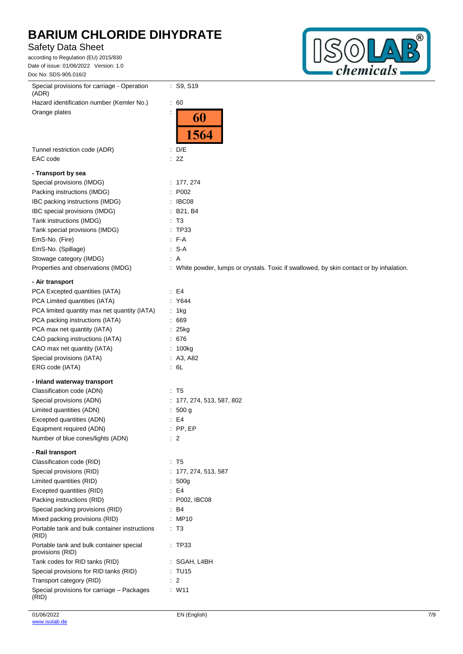# **Safety Data Sheet**

according to Regulation (EU) 2015/830 Date of issue: 01/06/2022 Version: 1.0 Doc No: SDS-905.016/2



| Special provisions for carriage - Operation<br>(ADR)         | : S9, S19                                                                                |
|--------------------------------------------------------------|------------------------------------------------------------------------------------------|
| Hazard identification number (Kemler No.)                    | $\therefore 60$                                                                          |
| Orange plates                                                |                                                                                          |
|                                                              | 60                                                                                       |
|                                                              | 1564                                                                                     |
| Tunnel restriction code (ADR)                                | $\therefore$ D/E                                                                         |
| EAC code                                                     | : 2Z                                                                                     |
| - Transport by sea                                           |                                                                                          |
| Special provisions (IMDG)                                    | : 177, 274                                                                               |
| Packing instructions (IMDG)                                  | P002                                                                                     |
| IBC packing instructions (IMDG)                              | : IBC08                                                                                  |
| IBC special provisions (IMDG)                                | : B21, B4                                                                                |
| Tank instructions (IMDG)                                     | : T3                                                                                     |
| Tank special provisions (IMDG)                               | : TP33                                                                                   |
| EmS-No. (Fire)                                               | : F-A                                                                                    |
| EmS-No. (Spillage)                                           | $: S-A$                                                                                  |
| Stowage category (IMDG)                                      | $\therefore$ A                                                                           |
| Properties and observations (IMDG)                           | : White powder, lumps or crystals. Toxic if swallowed, by skin contact or by inhalation. |
| - Air transport                                              |                                                                                          |
|                                                              |                                                                                          |
| PCA Excepted quantities (IATA)                               | E4                                                                                       |
| PCA Limited quantities (IATA)                                | : Y644                                                                                   |
| PCA limited quantity max net quantity (IATA)                 | : 1kg                                                                                    |
| PCA packing instructions (IATA)                              | .669                                                                                     |
| PCA max net quantity (IATA)                                  | : 25kg                                                                                   |
| CAO packing instructions (IATA)                              | : 676                                                                                    |
| CAO max net quantity (IATA)                                  | : 100kg                                                                                  |
| Special provisions (IATA)                                    | : $A3, A82$                                                                              |
| ERG code (IATA)                                              | $\cdot$ 6L                                                                               |
| - Inland waterway transport                                  |                                                                                          |
| Classification code (ADN)                                    | : T5                                                                                     |
| Special provisions (ADN)                                     | : 177, 274, 513, 587, 802                                                                |
| Limited quantities (ADN)                                     | 500 g                                                                                    |
| Excepted quantities (ADN)                                    | : E4                                                                                     |
| Equipment required (ADN)                                     | $:$ PP, EP                                                                               |
| Number of blue cones/lights (ADN)                            | $\cdot$ 2                                                                                |
| - Rail transport                                             |                                                                                          |
| Classification code (RID)                                    | $\therefore$ T5                                                                          |
| Special provisions (RID)                                     | 177, 274, 513, 587                                                                       |
| Limited quantities (RID)                                     | 500g                                                                                     |
| Excepted quantities (RID)                                    | E4                                                                                       |
| Packing instructions (RID)                                   | P002, IBC08                                                                              |
| Special packing provisions (RID)                             | B4                                                                                       |
| Mixed packing provisions (RID)                               | : MP10                                                                                   |
| Portable tank and bulk container instructions<br>(RID)       | $\cdot$ T3                                                                               |
| Portable tank and bulk container special<br>provisions (RID) | : TP33                                                                                   |
| Tank codes for RID tanks (RID)                               | : SGAH, L4BH                                                                             |
| Special provisions for RID tanks (RID)                       | : TU15                                                                                   |
| Transport category (RID)                                     | $\therefore$ 2                                                                           |
| Special provisions for carriage - Packages<br>(RID)          | $:$ W11                                                                                  |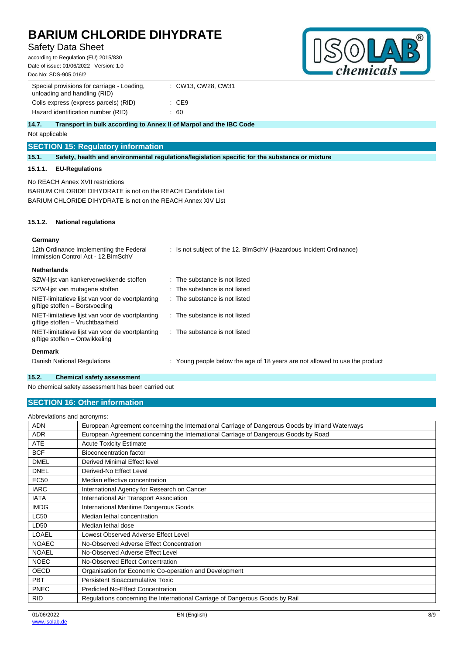# **Safety Data Sheet**

according to Regulation (EU) 2015/830 Date of issue: 01/06/2022 Version: 1.0 Doc No: SDS-905.016/2



| Special provisions for carriage - Loading.<br>unloading and handling (RID)  | : CW13, CW28, CW31 |
|-----------------------------------------------------------------------------|--------------------|
| Colis express (express parcels) (RID)                                       | : CE9              |
| Hazard identification number (RID)                                          | .60                |
| 14.7.<br>Transport in bulk according to Annex II of Marpol and the IBC Code |                    |

Not applicable

## **SECTION 15: Regulatory information**

**15.1. Safety, health and environmental regulations/legislation specific for the substance or mixture**

## **15.1.1. EU-Regulations**

No REACH Annex XVII restrictions

BARIUM CHLORIDE DIHYDRATE is not on the REACH Candidate List BARIUM CHLORIDE DIHYDRATE is not on the REACH Annex XIV List

#### **15.1.2. National regulations**

### **Germany**

| 12th Ordinance Implementing the Federal<br>Immission Control Act - 12. BlmSchV       | : Is not subject of the 12. BlmSchV (Hazardous Incident Ordinance)          |
|--------------------------------------------------------------------------------------|-----------------------------------------------------------------------------|
| <b>Netherlands</b>                                                                   |                                                                             |
| SZW-lijst van kankerverwekkende stoffen                                              | : The substance is not listed                                               |
| SZW-lijst van mutagene stoffen                                                       | : The substance is not listed                                               |
| NIET-limitatieve lijst van voor de voortplanting<br>giftige stoffen - Borstvoeding   | $\therefore$ The substance is not listed                                    |
| NIET-limitatieve lijst van voor de voortplanting<br>giftige stoffen – Vruchtbaarheid | $\therefore$ The substance is not listed                                    |
| NIET-limitatieve lijst van voor de voortplanting<br>giftige stoffen – Ontwikkeling   | : The substance is not listed                                               |
| <b>Denmark</b>                                                                       |                                                                             |
| Danish National Regulations                                                          | : Young people below the age of 18 years are not allowed to use the product |

#### **15.2. Chemical safety assessment**

No chemical safety assessment has been carried out

## **SECTION 16: Other information**

## Abbreviations and acronyms: